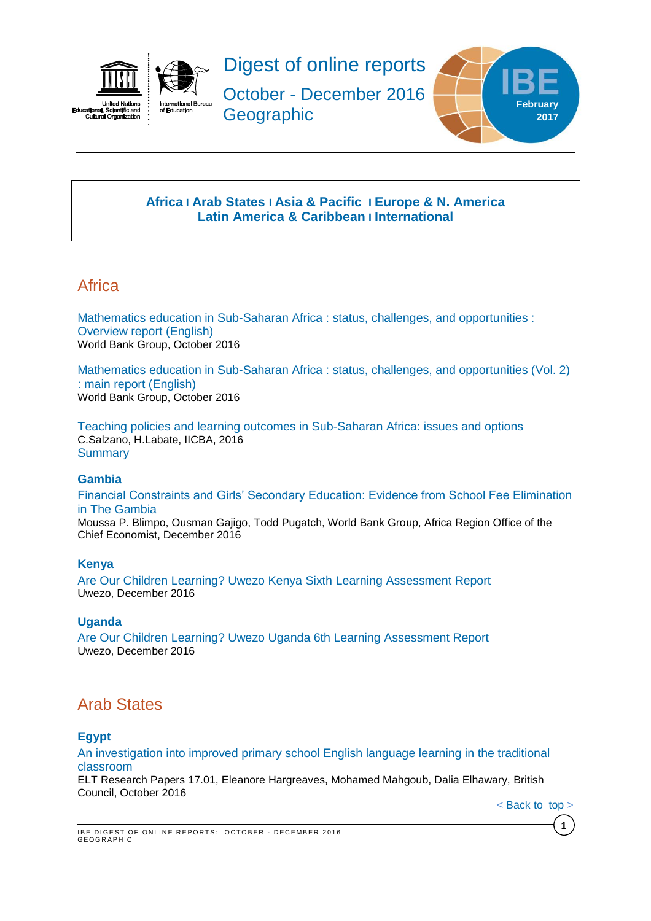



Digest of online reports October - December 2016 **Geographic** 



## **[Africa](#page-0-0) I [Arab States](#page-0-1) I [Asia & Pacific](#page-1-0) I [Europe & N. America](#page-2-0) Latin America & Caribbean I [International](#page-4-0)**

# <span id="page-0-0"></span>Africa

[Mathematics education in Sub-Saharan Africa : status, challenges, and opportunities :](http://documents.worldbank.org/curated/en/263711476977000047/pdf/ACS19117-V1-Version-2-OVERVIEW-Final-P152990-PUBLIC.pdf)  [Overview report \(English\)](http://documents.worldbank.org/curated/en/263711476977000047/pdf/ACS19117-V1-Version-2-OVERVIEW-Final-P152990-PUBLIC.pdf) World Bank Group, October 2016

[Mathematics education in Sub-Saharan Africa : status, challenges, and opportunities \(Vol. 2\)](http://documents.worldbank.org/curated/en/538251476977591230/pdf/ACS19117-V2-Version-2-Full-report-final-P152990-PUBLIC.pdf)  [: main report \(English\)](http://documents.worldbank.org/curated/en/538251476977591230/pdf/ACS19117-V2-Version-2-Full-report-final-P152990-PUBLIC.pdf) World Bank Group, October 2016

[Teaching policies and learning outcomes in Sub-Saharan Africa: issues and options](http://unesdoc.unesco.org/images/0024/002465/246501e.pdf) C.Salzano, H.Labate, IICBA, 2016 **Summary** 

## **Gambia**

[Financial Constraints and Girls' Secondary Education: Evidence from School Fee Elimination](http://documents.worldbank.org/curated/en/131321481039247615/pdf/WPS7908.pdf)  [in The Gambia](http://documents.worldbank.org/curated/en/131321481039247615/pdf/WPS7908.pdf)

Moussa P. Blimpo, Ousman Gajigo, Todd Pugatch, World Bank Group, Africa Region Office of the Chief Economist, December 2016

## **Kenya**

[Are Our Children Learning? Uwezo Kenya Sixth Learning Assessment Report](http://www.uwezo.net/wp-content/uploads/2016/12/UwezoKenya2015ALAReport-FINAL-EN-web.pdf) Uwezo, December 2016

## **Uganda**

[Are Our Children Learning? Uwezo Uganda 6th Learning Assessment Report](http://www.uwezo.net/wp-content/uploads/2016/12/UwezoUganda2015ALAReport-FINAL-EN-web.pdf)  Uwezo, December 2016

# <span id="page-0-1"></span>Arab States

## **Egypt**

[An investigation into improved primary school English language learning in the traditional](http://www.teachingenglish.org.uk/sites/teacheng/files/G164%20ELTRA%20An%20investigation%20into%20improved%20primary%20school%20FINAL_WEB.pdf)  [classroom](http://www.teachingenglish.org.uk/sites/teacheng/files/G164%20ELTRA%20An%20investigation%20into%20improved%20primary%20school%20FINAL_WEB.pdf)

ELT Research Papers 17.01, Eleanore Hargreaves, Mohamed Mahgoub, Dalia Elhawary, British Council, October 2016

< Back [to\\_top](#page-0-0) >

**1**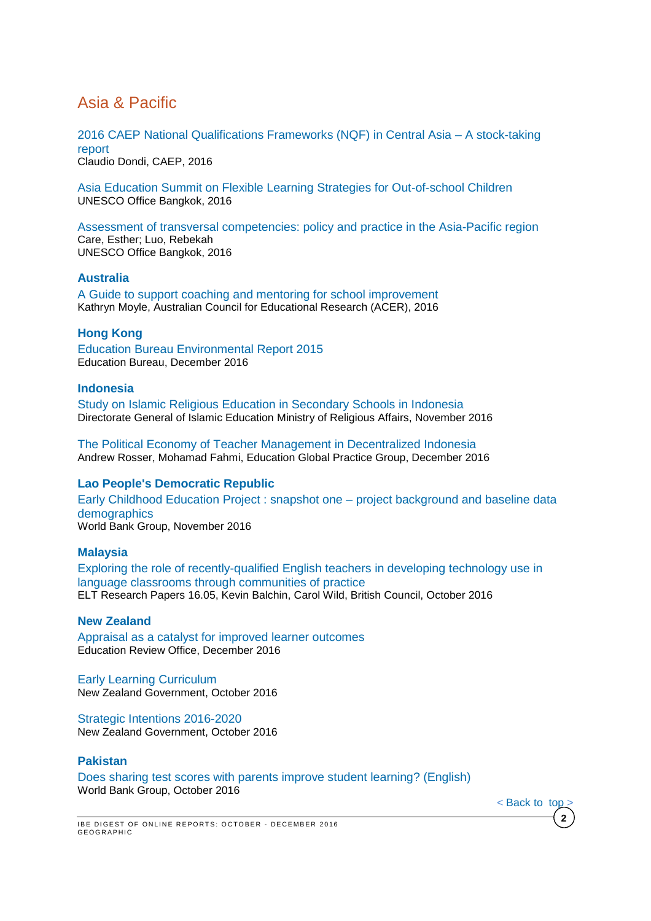# <span id="page-1-0"></span>Asia & Pacific

[2016 CAEP National Qualifications Frameworks \(NQF\) in Central Asia –](http://www.caep-project.org/wp-content/uploads/2014/09/CAEP_NQF_Report_prel_ver.pdf) A stock-taking [report](http://www.caep-project.org/wp-content/uploads/2014/09/CAEP_NQF_Report_prel_ver.pdf)

Claudio Dondi, CAEP, 2016

[Asia Education Summit on Flexible Learning Strategies for Out-of-school Children](http://unesdoc.unesco.org/images/0024/002464/246431e.pdf) UNESCO Office Bangkok, 2016

[Assessment of transversal competencies: policy and practice in the Asia-Pacific region](http://unesdoc.unesco.org/images/0024/002465/246590e.pdf) Care, Esther; Luo, Rebekah UNESCO Office Bangkok, 2016

## **Australia**

A [Guide to support coaching and mentoring for school improvement](http://research.acer.edu.au/cgi/viewcontent.cgi?article=1012&context=professional_dev) Kathryn Moyle, Australian Council for Educational Research (ACER), 2016

## **Hong Kong**

[Education Bureau Environmental Report 2015](http://www.edb.gov.hk/attachment/en/about-edb/publications-stat/environmental-report/Environmental%20Report%202015_%20eng_v2.pdf) Education Bureau, December 2016

### **Indonesia**

[Study on Islamic Religious Education in Secondary Schools in Indonesia](http://www.acdp-indonesia.org/wp-content/uploads/2016/11/ACDP-009-Study-on-Islamic-Religious-Education.pdf)  Directorate General of Islamic Education Ministry of Religious Affairs, November 2016

[The Political Economy of Teacher Management in Decentralized Indonesia](http://documents.worldbank.org/curated/en/974411481637452183/pdf/WPS7913.pdf) Andrew Rosser, Mohamad Fahmi, Education Global Practice Group, December 2016

## **Lao People's Democratic Republic**

[Early Childhood Education Project : snapshot one –](http://documents.worldbank.org/curated/en/617301479192109142/pdf/110261-WP-P145544-PUBLIC-ABSTRACT-SENT-1-LaoPDRECESnapshot.pdf) project background and baseline data [demographics](http://documents.worldbank.org/curated/en/617301479192109142/pdf/110261-WP-P145544-PUBLIC-ABSTRACT-SENT-1-LaoPDRECESnapshot.pdf) World Bank Group, November 2016

#### **Malaysia**

[Exploring the role of recently-qualified English teachers in developing technology use in](http://www.teachingenglish.org.uk/sites/teacheng/files/G181_ELTRA_Exploring%20the%20role_FINAL_WEB.pdf)  [language classrooms through communities of practice](http://www.teachingenglish.org.uk/sites/teacheng/files/G181_ELTRA_Exploring%20the%20role_FINAL_WEB.pdf) ELT Research Papers 16.05, Kevin Balchin, Carol Wild, British Council, October 2016

## **New Zealand**

[Appraisal as a catalyst for improved learner outcomes](http://www.ero.govt.nz/assets/Uploads/Appraisal-as-a-Catalyst-for-New-Learner-Outcomes.pdf) Education Review Office, December 2016

[Early Learning Curriculum](http://www.ero.govt.nz/assets/Uploads/ERO-Early-Learning-Curriculum-WEB.pdf) New Zealand Government, October 2016

[Strategic Intentions 2016-2020](http://www.ero.govt.nz/assets/Uploads/ERO-Statement-of-Intent-2016-2020-2.pdf) New Zealand Government, October 2016

#### **Pakistan**

[Does sharing test scores with parents improve student learning? \(English\)](http://documents.worldbank.org/curated/en/198041476862600248/pdf/109329-BRI-EPPakistanTestScores-PUBLIC.pdf) World Bank Group, October 2016

 $<$  Back to top

**2**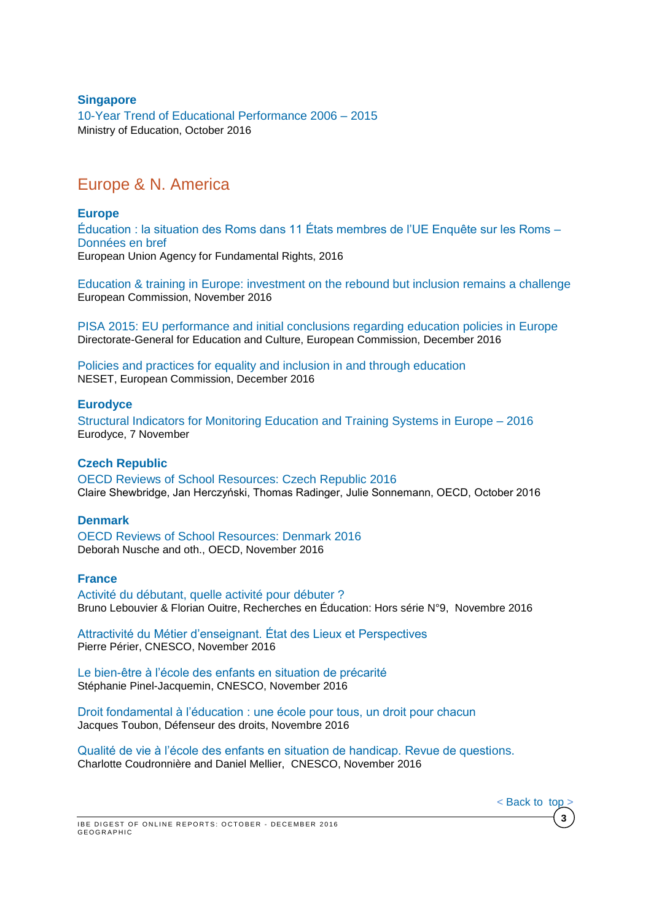### **Singapore**

[10-Year Trend of Educational Performance 2006 –](https://www.moe.gov.sg/news/press-releases/10-year-trend-of-educational-performance-2006--2015) 2015 Ministry of Education, October 2016

# <span id="page-2-0"></span>Europe & N. America

### **Europe**

[Éducation : la situation des Roms dans 11 États membres de l'UE Enquête sur les Roms –](http://fra.europa.eu/sites/default/files/fra_uploads/fra-2014-roma-survey-dif-education_fr.pdf) [Données en bref](http://fra.europa.eu/sites/default/files/fra_uploads/fra-2014-roma-survey-dif-education_fr.pdf) European Union Agency for Fundamental Rights, 2016

[Education & training in Europe: investment on the rebound but inclusion remains a challenge](https://ec.europa.eu/education/sites/education/files/monitor2016_en.pdf) European Commission, November 2016

[PISA 2015: EU performance and initial conclusions regarding education policies in Europe](https://ec.europa.eu/education/sites/education/files/pisa-2015-eu-policy-note_en.pdf) Directorate-General for Education and Culture, European Commission, December 2016

[Policies and practices for equality and inclusion in and through education](https://bookshop.europa.eu/en/policies-and-practices-for-equality-and-inclusion-in-and-through-education-pbNC0415452/) NESET, European Commission, December 2016

#### **Eurodyce**

[Structural Indicators for Monitoring Education and Training Systems in Europe –](https://webgate.ec.europa.eu/fpfis/mwikis/eurydice/index.php/Publications:Structural_Indicators_for_Monitoring_Education_and_Training_Systems_in_Europe_2016) 2016 Eurodyce, 7 November

### **Czech Republic**

[OECD Reviews of School Resources: Czech Republic 2016](http://www.oecd-ilibrary.org/docserver/download/9116091e.pdf?expires=1477335243&id=id&accname=guest&checksum=3F26A6329F9C955827F949F978F6BAA1) Claire Shewbridge, Jan Herczyński, Thomas Radinger, Julie Sonnemann, OECD, October 2016

#### **Denmark**

OECD Reviews of School [Resources:](http://www.oecd-ilibrary.org/docserver/download/9116101e.pdf?expires=1479393047&id=id&accname=guest&checksum=0B1466DECED1832A0805D6DD1CE09136) Denmark 2016 Deborah Nusche and oth., OECD, November 2016

#### **France**

**GEOGRAPHIC** 

[Activité du débutant, quelle activité pour débuter ?](http://www.recherches-en-education.net/IMG/pdf/REE-HS-9.pdf) Bruno Lebouvier & Florian Ouitre, Recherches en Éducation: Hors série N°9, Novembre 2016

[Attractivité du Métier d'enseignant. État des Lieux et Perspectives](http://www.cnesco.fr/wp-content/uploads/2016/11/161107-Rapport-attractivite-metier-enseignant.pdf) Pierre Périer, CNESCO, November 2016

[Le bien-être à l'école des enfants en situation de précarité](http://www.cnesco.fr/wp-content/uploads/2016/11/precarite2.pdf) Stéphanie Pinel-Jacquemin, CNESCO, November 2016

[Droit fondamental à l'éducation : une école pour tous, un droit pour chacun](http://www.defenseurdesdroits.fr/sites/default/files/atoms/files/2016-rae.pdf)  Jacques Toubon, Défenseur des droits, Novembre 2016

[Qualité de vie à l'école des enfants en situation de handicap. Revue de questions.](http://www.cnesco.fr/wp-content/uploads/2016/11/handicap2.pdf) Charlotte Coudronnière and Daniel Mellier, CNESCO, November 2016

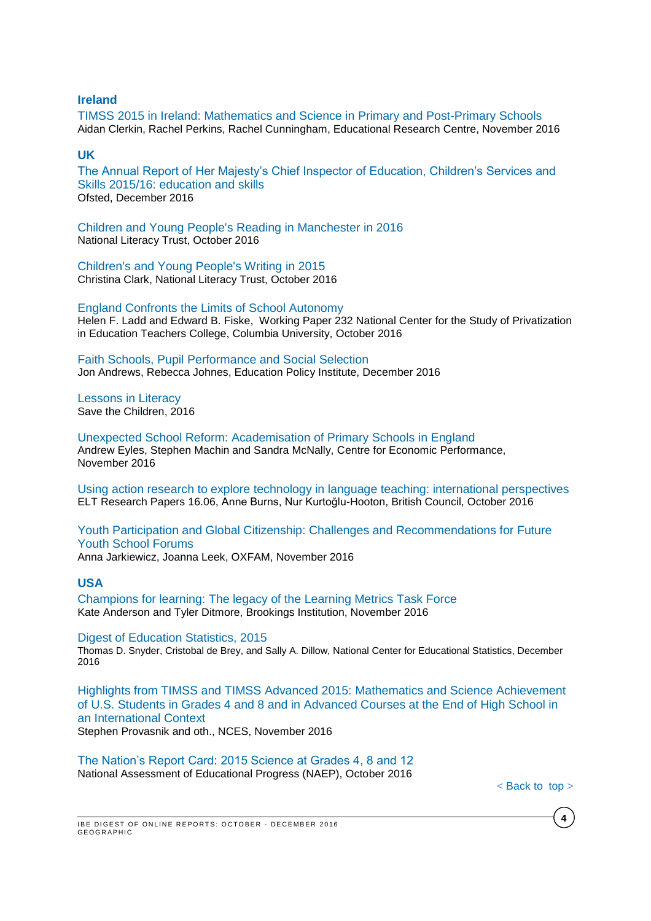#### **Ireland**

[TIMSS 2015 in Ireland: Mathematics and Science in Primary and Post-Primary Schools](http://www.erc.ie/wp/wp-content/uploads/2016/11/TIMSS-initial-report-FINAL.pdf) Aidan Clerkin, Rachel Perkins, Rachel Cunningham, Educational Research Centre, November 2016

### **UK**

[The Annual Report of Her Majesty's Chief Inspector of Education, Children's Services and](https://www.gov.uk/government/uploads/system/uploads/attachment_data/file/573257/Ofsted_annual_report_education_and_skills_201516_web-ready.pdf)  [Skills 2015/16: education and skills](https://www.gov.uk/government/uploads/system/uploads/attachment_data/file/573257/Ofsted_annual_report_education_and_skills_201516_web-ready.pdf) Ofsted, December 2016

[Children and Young People's Reading in Manchester in 2016](http://www.literacytrust.org.uk/assets/0003/5305/Manchester_2016_-_Final.pdf) National Literacy Trust, October 2016

[Children's and Young People's Writing in 2015](http://www.literacytrust.org.uk/assets/0003/5710/Young_people_s_writing_2015_-_Final.pdf) Christina Clark, National Literacy Trust, October 2016

[England Confronts the Limits of School Autonomy](http://ncspe.tc.columbia.edu/working-papers/OP232.pdf) Helen F. Ladd and Edward B. Fiske, Working Paper 232 National Center for the Study of Privatization in Education Teachers College, Columbia University, October 2016

[Faith Schools, Pupil Performance and Social Selection](http://epi.org.uk/wp-content/uploads/2016/11/Pupil_characteristics_and_performance_at_faith_schools.pdf) Jon Andrews, Rebecca Johnes, Education Policy Institute, December 2016

[Lessons in Literacy](https://www.savethechildren.ca/wp-content/uploads/2016/09/Lessons-in-Literacy-Report-4WEB-ENG.pdf)  Save the Children, 2016

[Unexpected School Reform: Academisation of Primary Schools in England](http://cep.lse.ac.uk/pubs/download/dp1455.pdf) Andrew Eyles, Stephen Machin and Sandra McNally, Centre for Economic Performance, November 2016

[Using action research to explore technology in language teaching: international perspectives](http://www.teachingenglish.org.uk/sites/teacheng/files/28313%20ELTRA%20Report%20WEB.PDF) ELT Research Papers 16.06, Anne Burns, Nur Kurtoğlu-Hooton, British Council, October 2016

[Youth Participation and Global Citizenship: Challenges and Recommendations for Future](http://policy-practice.oxfam.org.uk/publications/youth-participation-and-global-citizenship-challenges-and-recommendations-for-f-620142)  [Youth School Forums](http://policy-practice.oxfam.org.uk/publications/youth-participation-and-global-citizenship-challenges-and-recommendations-for-f-620142)

Anna Jarkiewicz, Joanna Leek, OXFAM, November 2016

#### **USA**

[Champions for learning: The legacy of the Learning Metrics Task Force](https://www.brookings.edu/wp-content/uploads/2016/11/global_111516_lmtf.pdf) Kate Anderson and Tyler Ditmore, Brookings Institution, November 2016

[Digest of Education Statistics, 2015](http://nces.ed.gov/pubs2016/2016014.pdf)

Thomas D. Snyder, Cristobal de Brey, and Sally A. Dillow, National Center for Educational Statistics, December 2016

[Highlights from TIMSS and TIMSS Advanced 2015: Mathematics and Science Achievement](http://nces.ed.gov/pubs2017/2017002_timss_2015_results.pdf)  [of U.S. Students in Grades 4 and 8 and in Advanced Courses at the End of High School in](http://nces.ed.gov/pubs2017/2017002_timss_2015_results.pdf)  [an International Context](http://nces.ed.gov/pubs2017/2017002_timss_2015_results.pdf) Stephen Provasnik and oth., NCES, November 2016

[The Nation's Report Card: 2015 Science at Grades 4, 8 and 12](http://www.nationsreportcard.gov/science_2015/#?grade=4) National Assessment of Educational Progress (NAEP), October 2016

< Back [to\\_top](#page-0-0) >

**4**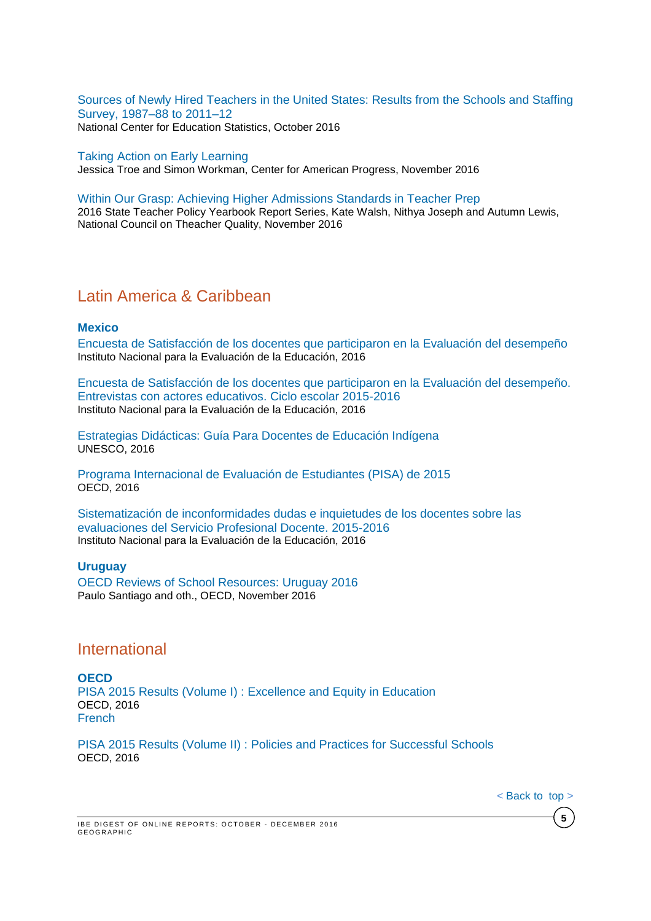[Sources of Newly Hired Teachers in the United States: Results from the Schools and Staffing](http://nces.ed.gov/pubs2016/2016876.pdf)  [Survey, 1987–88 to 2011–12](http://nces.ed.gov/pubs2016/2016876.pdf) National Center for Education Statistics, October 2016

#### [Taking Action on Early Learning](https://www.americanprogress.org/issues/early-childhood/reports/2016/11/18/292522/taking-action-on-early-learning/)

Jessica Troe and Simon Workman, Center for American Progress, November 2016

#### [Within Our Grasp: Achieving Higher Admissions Standards in Teacher Prep](http://www.nctq.org/dmsView/Admissions_Yearbook_Report)

2016 State Teacher Policy Yearbook Report Series, Kate Walsh, Nithya Joseph and Autumn Lewis, National Council on Theacher Quality, November 2016

## Latin America & Caribbean

#### **Mexico**

[Encuesta de Satisfacción de los docentes que participaron en](http://publicaciones.inee.edu.mx/buscadorPub/P1/F/203/P1F203.pdf) la Evaluación del desempeño Instituto Nacional para la Evaluación de la Educación, 2016

[Encuesta de Satisfacción de los docentes que participaron en la Evaluación del desempeño.](http://publicaciones.inee.edu.mx/buscadorPub/P1/F/204/P1F204.pdf)  [Entrevistas con actores educativos. Ciclo escolar 2015-2016](http://publicaciones.inee.edu.mx/buscadorPub/P1/F/204/P1F204.pdf) Instituto Nacional para la Evaluación de la Educación, 2016

[Estrategias Didácticas: Guía Para Docentes de Educación Indígena](http://www.unesco.org/new/fileadmin/MULTIMEDIA/FIELD/Mexico/images/Publicaciones/GUIADOCENTE2016.pdf) UNESCO, 2016

[Programa Internacional de Evaluación de Estudiantes \(PISA\) de 2015](http://www.oecd.org/pisa/PISA-2015-Mexico-ESP.pdf) OECD, 2016

[Sistematización de inconformidades dudas e inquietudes de los docentes sobre las](http://publicaciones.inee.edu.mx/buscadorPub/P1/F/205/P1F205.pdf)  [evaluaciones del Servicio Profesional Docente. 2015-2016](http://publicaciones.inee.edu.mx/buscadorPub/P1/F/205/P1F205.pdf) Instituto Nacional para la Evaluación de la Educación, 2016

#### **Uruguay** OECD Reviews of School [Resources:](http://www.oecd-ilibrary.org/docserver/download/9116121e.pdf?expires=1480598764&id=id&accname=guest&checksum=491ED44E74F853675EFF7FB80DCA1C43) Uruguay 2016 Paulo Santiago and oth., OECD, November 2016

## <span id="page-4-0"></span>International

**OECD** PISA 2015 Results (Volume I) : [Excellence and Equity in Education](http://www.oecd-ilibrary.org/docserver/download/9816061e.pdf?expires=1482162893&id=id&accname=guest&checksum=F3B63F48BC4D5BCD2C7820B45F3C2B02) OECD, 2016 **[French](http://www.oecd-ilibrary.org/docserver/download/9816062e.pdf?expires=1482162920&id=id&accname=guest&checksum=10CB859D50A085DAA9B18420B49A727F)** 

PISA 2015 Results (Volume II) : [Policies and Practices for Successful Schools](http://www.oecd-ilibrary.org/docserver/download/9816071e.pdf?expires=1482162837&id=id&accname=guest&checksum=BAE051964629DD6C8B3635A9856220A9) OECD, 2016

< Back to top >

**5**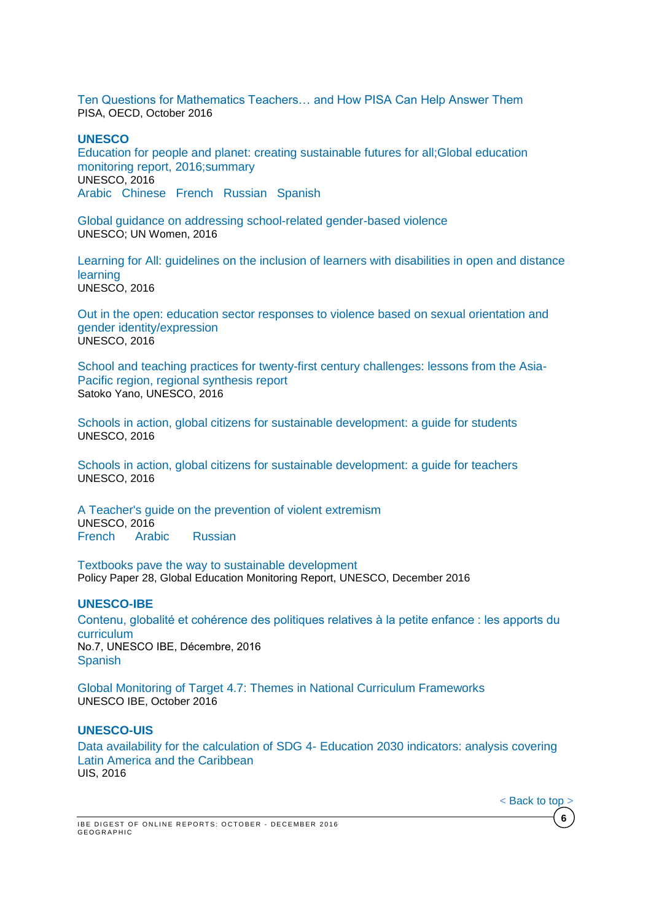[Ten Questions for Mathematics Teachers… and How PISA Can Help Answer Them](http://www.oecd-ilibrary.org/docserver/download/9816051e.pdf?expires=1476138034&id=id&accname=guest&checksum=BA9A792F14462BB5E5FDD286D20026A0) PISA, OECD, October 2016

#### **UNESCO**

[Education for people and planet: creating sustainable futures for all;Global education](http://unesdoc.unesco.org/images/0024/002457/245745e.pdf)  [monitoring report, 2016;summary](http://unesdoc.unesco.org/images/0024/002457/245745e.pdf) UNESCO, 2016 [Arabic](http://unesdoc.unesco.org/images/0024/002457/245745a.pdf) [Chinese](http://unesdoc.unesco.org/images/0024/002457/245745c.pdf) [French](http://unesdoc.unesco.org/images/0024/002457/245745f.pdf) [Russian](http://unesdoc.unesco.org/images/0024/002457/245745r.pdf) [Spanish](http://unesdoc.unesco.org/images/0024/002457/245745s.pdf)

[Global guidance on addressing school-related gender-based violence](http://unesdoc.unesco.org/images/0024/002466/246651e.pdf)  UNESCO; UN Women, 2016

[Learning for All: guidelines on the inclusion of learners with disabilities in open and distance](http://unesdoc.unesco.org/images/0024/002443/244355e.pdf)  [learning](http://unesdoc.unesco.org/images/0024/002443/244355e.pdf) UNESCO, 2016

[Out in the open: education sector responses to violence based on sexual orientation and](http://unesdoc.unesco.org/images/0024/002447/244756e.pdf)  [gender identity/expression](http://unesdoc.unesco.org/images/0024/002447/244756e.pdf)  UNESCO, 2016

[School and teaching practices for twenty-first century challenges: lessons from the Asia-](http://unesdoc.unesco.org/images/0024/002440/244022e.pdf)[Pacific region, regional synthesis report](http://unesdoc.unesco.org/images/0024/002440/244022e.pdf) Satoko Yano, UNESCO, 2016

[Schools in action, global citizens for sustainable development: a guide for students](http://unesdoc.unesco.org/images/0024/002463/246352e.pdf)  UNESCO, 2016

[Schools in action, global citizens for sustainable development: a guide for teachers](http://unesdoc.unesco.org/images/0024/002468/246888e.pdf)  UNESCO, 2016

[A Teacher's guide on the prevention of violent extremism](http://unesdoc.unesco.org/images/0024/002446/244676e.pdf) UNESCO, 2016 [French](http://unesdoc.unesco.org/images/0024/002446/244676f.pdf) [Arabic](http://unesdoc.unesco.org/images/0024/002446/244676a.pdf) [Russian](http://unesdoc.unesco.org/images/0024/002446/244676r.pdf)

[Textbooks pave the way to sustainable development](http://unesdoc.unesco.org/images/0024/002467/246777E.pdf) Policy Paper 28, Global Education Monitoring Report, UNESCO, December 2016

#### **UNESCO-IBE**

[Contenu, globalité et cohérence des politiques relatives à la petite enfance : les apports du](http://unesdoc.unesco.org/images/0024/002467/246701F.pdf)  [curriculum](http://unesdoc.unesco.org/images/0024/002467/246701F.pdf)  No.7, UNESCO IBE, Décembre, 2016 **[Spanish](http://unesdoc.unesco.org/images/0024/002467/246701S.pdf)** 

[Global Monitoring of Target 4.7: Themes in National Curriculum Frameworks](http://unesdoc.unesco.org/images/0024/002463/246382e.pdf)  UNESCO IBE, October 2016

#### **UNESCO-UIS**

Data availability for the calculation of SDG 4- [Education 2030 indicators: analysis covering](http://unesdoc.unesco.org/images/0024/002462/246263e.pdf)  [Latin America and the Caribbean](http://unesdoc.unesco.org/images/0024/002462/246263e.pdf)  UIS, 2016

< [Back](#page-0-0) to top >

**6**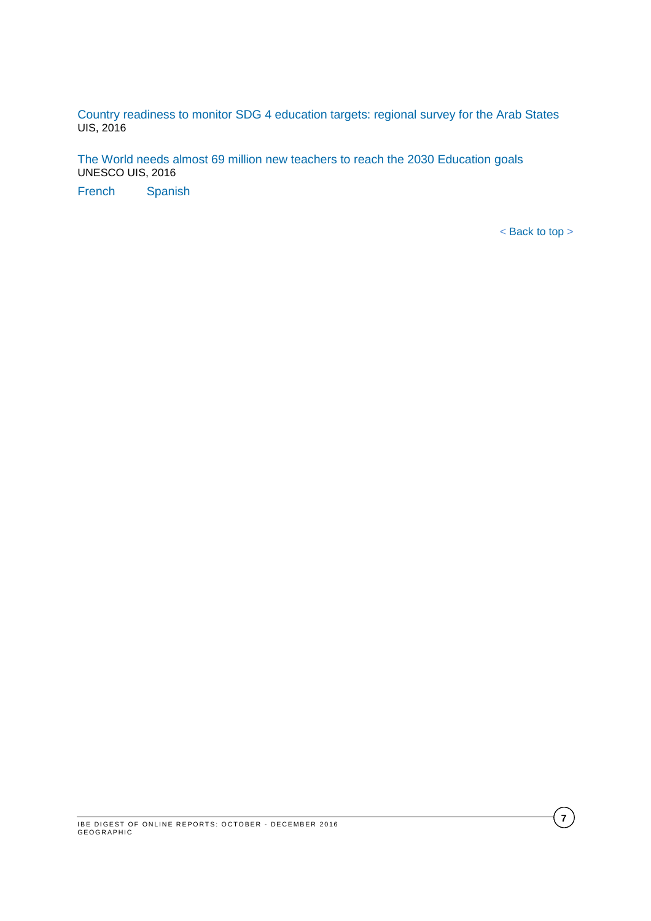[Country readiness to monitor SDG 4 education targets: regional survey for the Arab States](http://unesdoc.unesco.org/images/0024/002461/246144e.pdf)  UIS, 2016

[The World needs almost 69 million new teachers to reach the 2030 Education goals](http://unesdoc.unesco.org/images/0024/002461/246124e.pdf) UNESCO UIS, 2016

[French](http://unesdoc.unesco.org/images/0024/002461/246124f.pdf) [Spanish](http://unesdoc.unesco.org/images/0024/002461/246124s.pdf) 

< [Back](#page-0-0) to top >